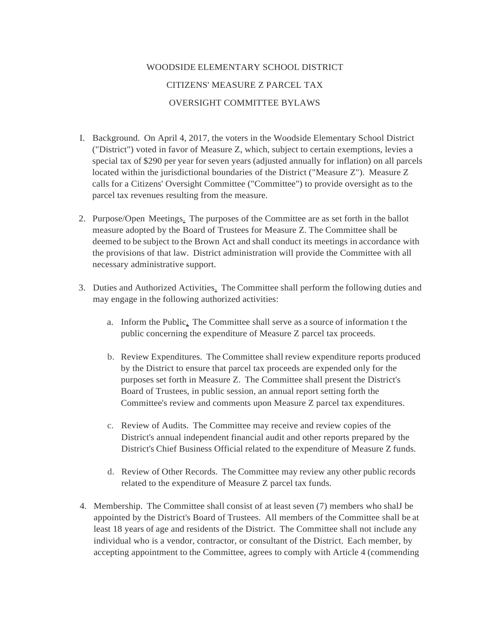## WOODSIDE ELEMENTARY SCHOOL DISTRICT CITIZENS' MEASURE Z PARCEL TAX OVERSIGHT COMMITTEE BYLAWS

- I. Background. On April 4, 2017, the voters in the Woodside Elementary School District ("District") voted in favor of Measure Z, which, subject to certain exemptions, levies a special tax of \$290 per year for seven years (adjusted annually for inflation) on all parcels located within the jurisdictional boundaries of the District ("Measure Z"). Measure Z calls for a Citizens' Oversight Committee ("Committee") to provide oversight as to the parcel tax revenues resulting from the measure.
- 2. Purpose/Open Meetings. The purposes of the Committee are as set forth in the ballot measure adopted by the Board of Trustees for Measure Z. The Committee shall be deemed to be subject to the Brown Act and shall conduct its meetings in accordance with the provisions of that law. District administration will provide the Committee with all necessary administrative support.
- 3. Duties and Authorized Activities. The Committee shall perform the following duties and may engage in the following authorized activities:
	- a. Inform the Public. The Committee shall serve as a source of information t the public concerning the expenditure of Measure Z parcel tax proceeds.
	- b. Review Expenditures. The Committee shall review expenditure reports produced by the District to ensure that parcel tax proceeds are expended only for the purposes set forth in Measure Z. The Committee shall present the District's Board of Trustees, in public session, an annual report setting forth the Committee's review and comments upon Measure Z parcel tax expenditures.
	- c. Review of Audits. The Committee may receive and review copies of the District's annual independent financial audit and other reports prepared by the District's Chief Business Official related to the expenditure of Measure Z funds.
	- d. Review of Other Records. The Committee may review any other public records related to the expenditure of Measure Z parcel tax funds.
- 4. Membership. The Committee shall consist of at least seven (7) members who shalJ be appointed by the District's Board of Trustees. All members of the Committee shall be at least 18 years of age and residents of the District. The Committee shall not include any individual who is a vendor, contractor, or consultant of the District. Each member, by accepting appointment to the Committee, agrees to comply with Article 4 (commending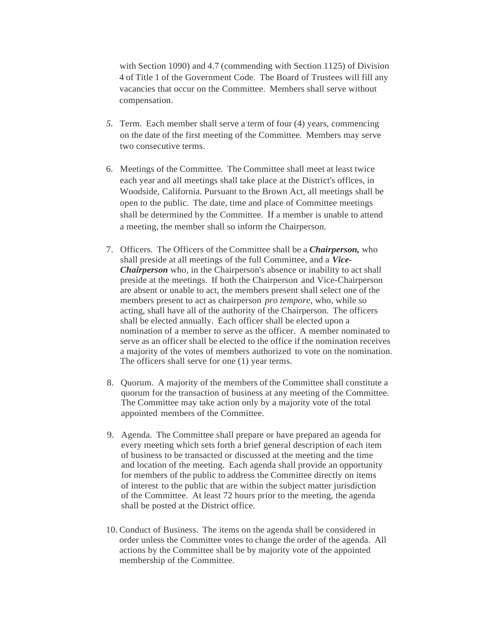with Section 1090) and 4.7 (commending with Section 1125) of Division 4 of Title 1 of the Government Code. The Board of Trustees will fill any vacancies that occur on the Committee. Members shall serve without compensation.

- *5.* Term. Each member shall serve a term of four (4) years, commencing on the date of the first meeting of the Committee. Members may serve two consecutive terms.
- 6. Meetings of the Committee. The Committee shall meet at least twice each year and all meetings shall take place at the District's offices, in Woodside, California. Pursuant to the Brown Act, all meetings shall be open to the public. The date, time and place of Committee meetings shall be determined by the Committee. If a member is unable to attend a meeting, the member shall so inform the Chairperson.
- 7. Officers. The Officers of the Committee shall be a *Chairperson,* who shall preside at all meetings of the full Committee, and a *Vice-Chairperson* who, in the Chairperson's absence or inability to act shall preside at the meetings. If both the Chairperson and Vice-Chairperson are absent or unable to act, the members present shall select one of the members present to act as chairperson *pro tempore,* who, while so acting, shall have all of the authority of the Chairperson. The officers shall be elected annually. Each officer shall be elected upon a nomination of a member to serve as the officer. A member nominated to serve as an officer shall be elected to the office if the nomination receives a majority of the votes of members authorized to vote on the nomination. The officers shall serve for one (1) year terms.
- 8. Quorum. A majority of the members of the Committee shall constitute a quorum for the transaction of business at any meeting of the Committee. The Committee may take action only by a majority vote of the total appointed members of the Committee.
- 9. Agenda. The Committee shall prepare or have prepared an agenda for every meeting which sets forth a brief general description of each item of business to be transacted or discussed at the meeting and the time and location of the meeting. Each agenda shall provide an opportunity for members of the public to address the Committee directly on items of interest to the public that are within the subject matter jurisdiction of the Committee. At least 72 hours prior to the meeting, the agenda shall be posted at the District office.
- 10. Conduct of Business. The items on the agenda shall be considered in order unless the Committee votes to change the order of the agenda. All actions by the Committee shall be by majority vote of the appointed membership of the Committee.